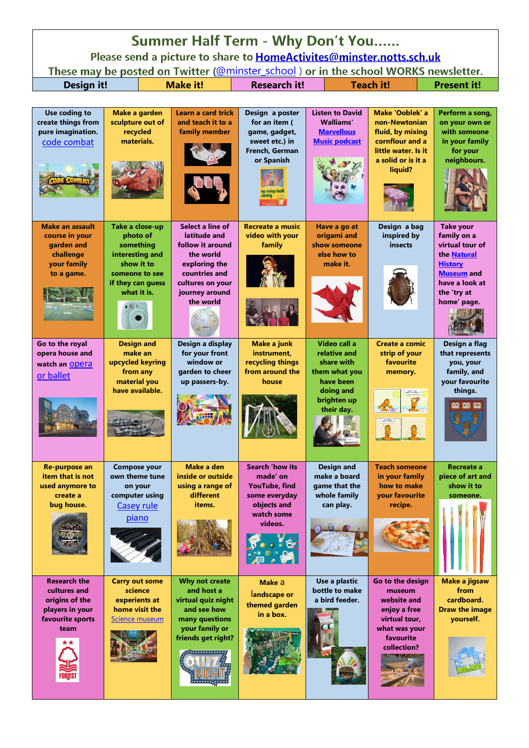| Summer Half Term - Why Don't You                                                                                                                            |                                                                                                                                                            |                                                                                                                                                                            |                                                                                                                     |                                                                                                    |                                                                                                                                 |                                                                                                                                                                           |  |  |  |
|-------------------------------------------------------------------------------------------------------------------------------------------------------------|------------------------------------------------------------------------------------------------------------------------------------------------------------|----------------------------------------------------------------------------------------------------------------------------------------------------------------------------|---------------------------------------------------------------------------------------------------------------------|----------------------------------------------------------------------------------------------------|---------------------------------------------------------------------------------------------------------------------------------|---------------------------------------------------------------------------------------------------------------------------------------------------------------------------|--|--|--|
| Please send a picture to share to HomeActivites@minster.notts.sch.uk<br>These may be posted on Twitter (@minster_school) or in the school WORKS newsletter. |                                                                                                                                                            |                                                                                                                                                                            |                                                                                                                     |                                                                                                    |                                                                                                                                 |                                                                                                                                                                           |  |  |  |
| <b>Design it!</b>                                                                                                                                           |                                                                                                                                                            | <b>Make it!</b>                                                                                                                                                            | <b>Research it!</b>                                                                                                 |                                                                                                    | <b>Teach it!</b><br><b>Present it!</b>                                                                                          |                                                                                                                                                                           |  |  |  |
|                                                                                                                                                             |                                                                                                                                                            |                                                                                                                                                                            |                                                                                                                     |                                                                                                    |                                                                                                                                 |                                                                                                                                                                           |  |  |  |
| Use coding to<br>create things from<br>pure imagination.<br>code combat                                                                                     | Make a garden<br>sculpture out of<br>recycled<br>materials.                                                                                                | <b>Learn a card trick</b><br>and teach it to a<br>family member                                                                                                            | Design a poster<br>for an item (<br>game, gadget,<br>sweet etc.) in<br><b>French, German</b><br>or Spanish          | <b>Listen to David</b><br><b>Walliams'</b><br><b>Marvellous</b><br><b>Music podcast</b>            | Make 'Ooblek' a<br>non-Newtonian<br>fluid, by mixing<br>cornflour and a<br>little water. Is it<br>a solid or is it a<br>liquid? | Perform a song,<br>on your own or<br>with someone<br>in your family<br>for your<br>neighbours.                                                                            |  |  |  |
| <b>Make an assault</b><br>course in your<br>garden and<br>challenge<br>your family<br>to a game.<br>Go to the royal                                         | Take a close-up<br>photo of<br>something<br>interesting and<br>show it to<br>someone to see<br>if they can guess<br>what it is.<br>图》<br><b>Design and</b> | Select a line of<br>latitude and<br>follow it around<br>the world<br>exploring the<br>countries and<br>cultures on your<br>journey around<br>the world<br>Design a display | <b>Recreate a music</b><br>video with your<br>family<br><b>Make a junk</b>                                          | Have a go at<br>origami and<br>show someone<br>else how to<br>make it.<br>Video call a             | Design a bag<br>inspired by<br>insects<br><b>Create a comic</b>                                                                 | <b>Take your</b><br>family on a<br>virtual tour of<br>the Natural<br><b>History</b><br><b>Museum and</b><br>have a look at<br>the 'try at<br>home' page.<br>Design a flag |  |  |  |
| opera house and<br>watch an Opera<br>or ballet                                                                                                              | make an<br>upcycled keyring<br>from any<br>material you<br>have available.                                                                                 | for your front<br>window or<br>garden to cheer<br>up passers-by.                                                                                                           | instrument.<br>recycling things<br>from around the<br>house                                                         | relative and<br>share with<br>them what you<br>have been<br>doing and<br>brighten up<br>their day. | strip of your<br>favourite<br>memory.<br>$25 - 26$<br>CATS HAIR                                                                 | that represents<br>you, your<br>family, and<br>your favourite<br>things.<br><b>VE RO RG</b>                                                                               |  |  |  |
| Re-purpose an<br>item that is not<br>used anymore to<br>create a<br>bug house.                                                                              | <b>Compose your</b><br>own theme tune<br>on your<br>computer using<br><b>Casey rule</b><br>piano                                                           | <b>Make a den</b><br>inside or outside<br>using a range of<br>different<br>items.                                                                                          | <b>Search 'how its</b><br>made' on<br><b>YouTube, find</b><br>some everyday<br>objects and<br>watch some<br>videos. | <b>Design and</b><br>make a board<br>game that the<br>whole family<br>can play.                    | <b>Teach someone</b><br>in your family<br>how to make<br><b>your favourite</b><br>recipe.                                       | Recreate a<br>piece of art and<br>show it to<br>someone.                                                                                                                  |  |  |  |
| <b>Research the</b><br>cultures and<br>origins of the<br>players in your<br>favourite sports<br>team                                                        | <b>Carry out some</b><br>science<br>experients at<br>home visit the<br>Science museum                                                                      | <b>Why not create</b><br>and host a<br>virtual quiz night<br>and see how<br>many questions<br>your family or<br>friends get right?                                         | Make a<br>landscape or<br>themed garden<br>in a box.                                                                | Use a plastic<br>bottle to make<br>a bird feeder.                                                  | Go to the design<br>museum<br>website and<br>enjoy a free<br>virtual tour,<br>what was your<br>favourite<br>collection?         | Make a jigsaw<br>from<br>cardboard.<br><b>Draw the image</b><br>yourself.                                                                                                 |  |  |  |